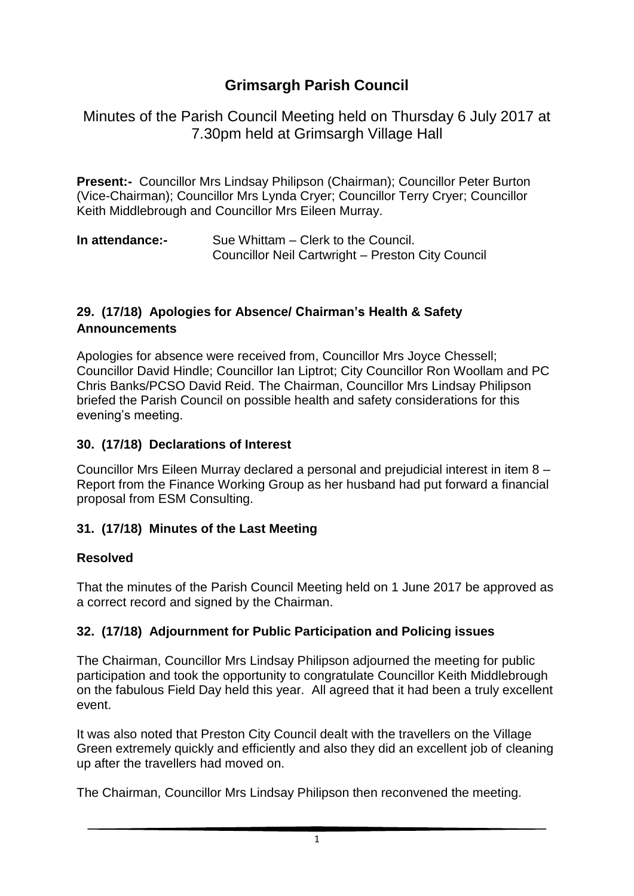# **Grimsargh Parish Council**

Minutes of the Parish Council Meeting held on Thursday 6 July 2017 at 7.30pm held at Grimsargh Village Hall

**Present:-** Councillor Mrs Lindsay Philipson (Chairman); Councillor Peter Burton (Vice-Chairman); Councillor Mrs Lynda Cryer; Councillor Terry Cryer; Councillor Keith Middlebrough and Councillor Mrs Eileen Murray.

| In attendance:- | Sue Whittam – Clerk to the Council.               |
|-----------------|---------------------------------------------------|
|                 | Councillor Neil Cartwright - Preston City Council |

#### **29. (17/18) Apologies for Absence/ Chairman's Health & Safety Announcements**

Apologies for absence were received from, Councillor Mrs Joyce Chessell; Councillor David Hindle; Councillor Ian Liptrot; City Councillor Ron Woollam and PC Chris Banks/PCSO David Reid. The Chairman, Councillor Mrs Lindsay Philipson briefed the Parish Council on possible health and safety considerations for this evening's meeting.

#### **30. (17/18) Declarations of Interest**

Councillor Mrs Eileen Murray declared a personal and prejudicial interest in item 8 – Report from the Finance Working Group as her husband had put forward a financial proposal from ESM Consulting.

### **31. (17/18) Minutes of the Last Meeting**

#### **Resolved**

That the minutes of the Parish Council Meeting held on 1 June 2017 be approved as a correct record and signed by the Chairman.

### **32. (17/18) Adjournment for Public Participation and Policing issues**

The Chairman, Councillor Mrs Lindsay Philipson adjourned the meeting for public participation and took the opportunity to congratulate Councillor Keith Middlebrough on the fabulous Field Day held this year. All agreed that it had been a truly excellent event.

It was also noted that Preston City Council dealt with the travellers on the Village Green extremely quickly and efficiently and also they did an excellent job of cleaning up after the travellers had moved on.

The Chairman, Councillor Mrs Lindsay Philipson then reconvened the meeting.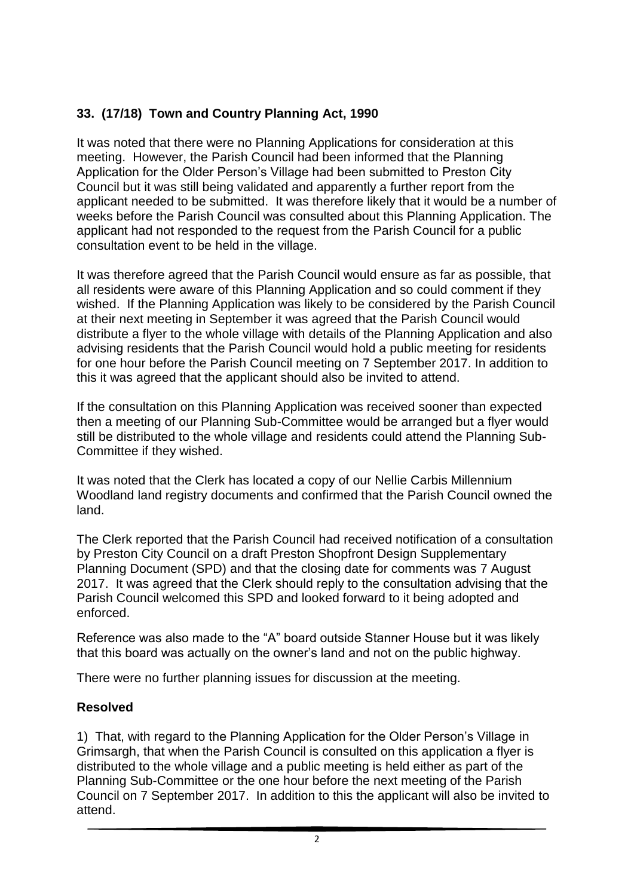# **33. (17/18) Town and Country Planning Act, 1990**

It was noted that there were no Planning Applications for consideration at this meeting. However, the Parish Council had been informed that the Planning Application for the Older Person's Village had been submitted to Preston City Council but it was still being validated and apparently a further report from the applicant needed to be submitted. It was therefore likely that it would be a number of weeks before the Parish Council was consulted about this Planning Application. The applicant had not responded to the request from the Parish Council for a public consultation event to be held in the village.

It was therefore agreed that the Parish Council would ensure as far as possible, that all residents were aware of this Planning Application and so could comment if they wished. If the Planning Application was likely to be considered by the Parish Council at their next meeting in September it was agreed that the Parish Council would distribute a flyer to the whole village with details of the Planning Application and also advising residents that the Parish Council would hold a public meeting for residents for one hour before the Parish Council meeting on 7 September 2017. In addition to this it was agreed that the applicant should also be invited to attend.

If the consultation on this Planning Application was received sooner than expected then a meeting of our Planning Sub-Committee would be arranged but a flyer would still be distributed to the whole village and residents could attend the Planning Sub-Committee if they wished.

It was noted that the Clerk has located a copy of our Nellie Carbis Millennium Woodland land registry documents and confirmed that the Parish Council owned the land.

The Clerk reported that the Parish Council had received notification of a consultation by Preston City Council on a draft Preston Shopfront Design Supplementary Planning Document (SPD) and that the closing date for comments was 7 August 2017. It was agreed that the Clerk should reply to the consultation advising that the Parish Council welcomed this SPD and looked forward to it being adopted and enforced.

Reference was also made to the "A" board outside Stanner House but it was likely that this board was actually on the owner's land and not on the public highway.

There were no further planning issues for discussion at the meeting.

### **Resolved**

1) That, with regard to the Planning Application for the Older Person's Village in Grimsargh, that when the Parish Council is consulted on this application a flyer is distributed to the whole village and a public meeting is held either as part of the Planning Sub-Committee or the one hour before the next meeting of the Parish Council on 7 September 2017. In addition to this the applicant will also be invited to attend.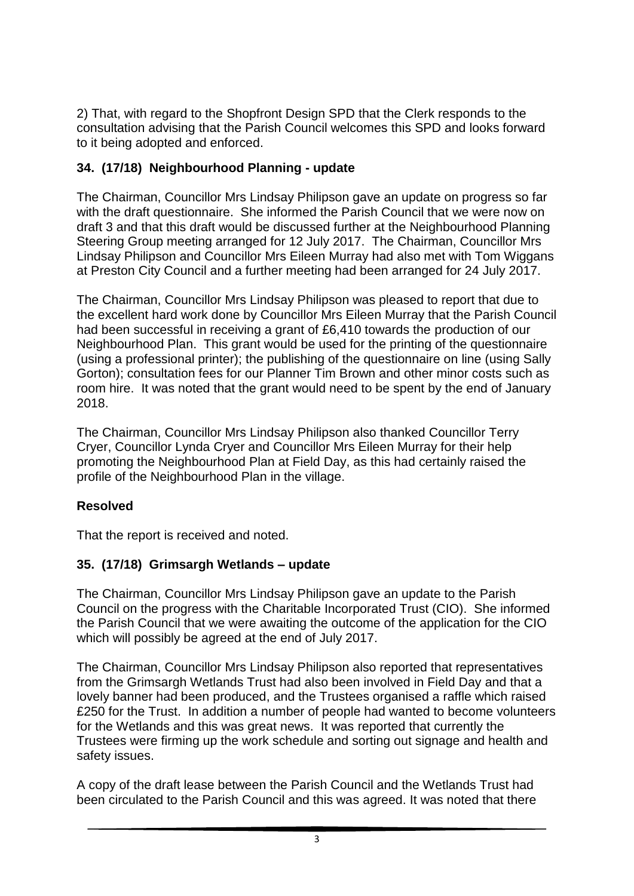2) That, with regard to the Shopfront Design SPD that the Clerk responds to the consultation advising that the Parish Council welcomes this SPD and looks forward to it being adopted and enforced.

### **34. (17/18) Neighbourhood Planning - update**

The Chairman, Councillor Mrs Lindsay Philipson gave an update on progress so far with the draft questionnaire. She informed the Parish Council that we were now on draft 3 and that this draft would be discussed further at the Neighbourhood Planning Steering Group meeting arranged for 12 July 2017. The Chairman, Councillor Mrs Lindsay Philipson and Councillor Mrs Eileen Murray had also met with Tom Wiggans at Preston City Council and a further meeting had been arranged for 24 July 2017.

The Chairman, Councillor Mrs Lindsay Philipson was pleased to report that due to the excellent hard work done by Councillor Mrs Eileen Murray that the Parish Council had been successful in receiving a grant of £6,410 towards the production of our Neighbourhood Plan. This grant would be used for the printing of the questionnaire (using a professional printer); the publishing of the questionnaire on line (using Sally Gorton); consultation fees for our Planner Tim Brown and other minor costs such as room hire. It was noted that the grant would need to be spent by the end of January 2018.

The Chairman, Councillor Mrs Lindsay Philipson also thanked Councillor Terry Cryer, Councillor Lynda Cryer and Councillor Mrs Eileen Murray for their help promoting the Neighbourhood Plan at Field Day, as this had certainly raised the profile of the Neighbourhood Plan in the village.

# **Resolved**

That the report is received and noted.

# **35. (17/18) Grimsargh Wetlands – update**

The Chairman, Councillor Mrs Lindsay Philipson gave an update to the Parish Council on the progress with the Charitable Incorporated Trust (CIO). She informed the Parish Council that we were awaiting the outcome of the application for the CIO which will possibly be agreed at the end of July 2017.

The Chairman, Councillor Mrs Lindsay Philipson also reported that representatives from the Grimsargh Wetlands Trust had also been involved in Field Day and that a lovely banner had been produced, and the Trustees organised a raffle which raised £250 for the Trust. In addition a number of people had wanted to become volunteers for the Wetlands and this was great news. It was reported that currently the Trustees were firming up the work schedule and sorting out signage and health and safety issues.

A copy of the draft lease between the Parish Council and the Wetlands Trust had been circulated to the Parish Council and this was agreed. It was noted that there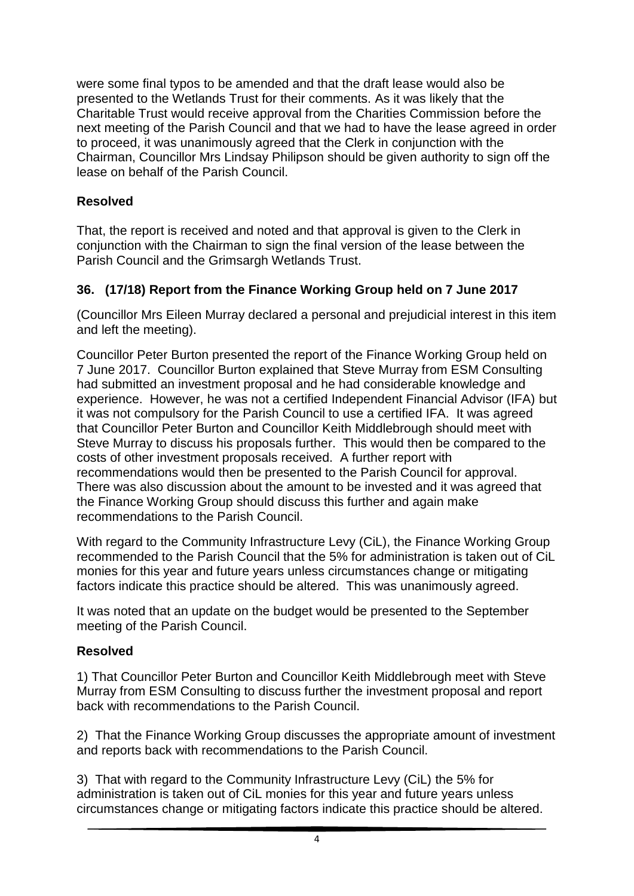were some final typos to be amended and that the draft lease would also be presented to the Wetlands Trust for their comments. As it was likely that the Charitable Trust would receive approval from the Charities Commission before the next meeting of the Parish Council and that we had to have the lease agreed in order to proceed, it was unanimously agreed that the Clerk in conjunction with the Chairman, Councillor Mrs Lindsay Philipson should be given authority to sign off the lease on behalf of the Parish Council.

#### **Resolved**

That, the report is received and noted and that approval is given to the Clerk in conjunction with the Chairman to sign the final version of the lease between the Parish Council and the Grimsargh Wetlands Trust.

### **36. (17/18) Report from the Finance Working Group held on 7 June 2017**

(Councillor Mrs Eileen Murray declared a personal and prejudicial interest in this item and left the meeting).

Councillor Peter Burton presented the report of the Finance Working Group held on 7 June 2017. Councillor Burton explained that Steve Murray from ESM Consulting had submitted an investment proposal and he had considerable knowledge and experience. However, he was not a certified Independent Financial Advisor (IFA) but it was not compulsory for the Parish Council to use a certified IFA. It was agreed that Councillor Peter Burton and Councillor Keith Middlebrough should meet with Steve Murray to discuss his proposals further. This would then be compared to the costs of other investment proposals received. A further report with recommendations would then be presented to the Parish Council for approval. There was also discussion about the amount to be invested and it was agreed that the Finance Working Group should discuss this further and again make recommendations to the Parish Council.

With regard to the Community Infrastructure Levy (CiL), the Finance Working Group recommended to the Parish Council that the 5% for administration is taken out of CiL monies for this year and future years unless circumstances change or mitigating factors indicate this practice should be altered. This was unanimously agreed.

It was noted that an update on the budget would be presented to the September meeting of the Parish Council.

#### **Resolved**

1) That Councillor Peter Burton and Councillor Keith Middlebrough meet with Steve Murray from ESM Consulting to discuss further the investment proposal and report back with recommendations to the Parish Council.

2) That the Finance Working Group discusses the appropriate amount of investment and reports back with recommendations to the Parish Council.

3) That with regard to the Community Infrastructure Levy (CiL) the 5% for administration is taken out of CiL monies for this year and future years unless circumstances change or mitigating factors indicate this practice should be altered.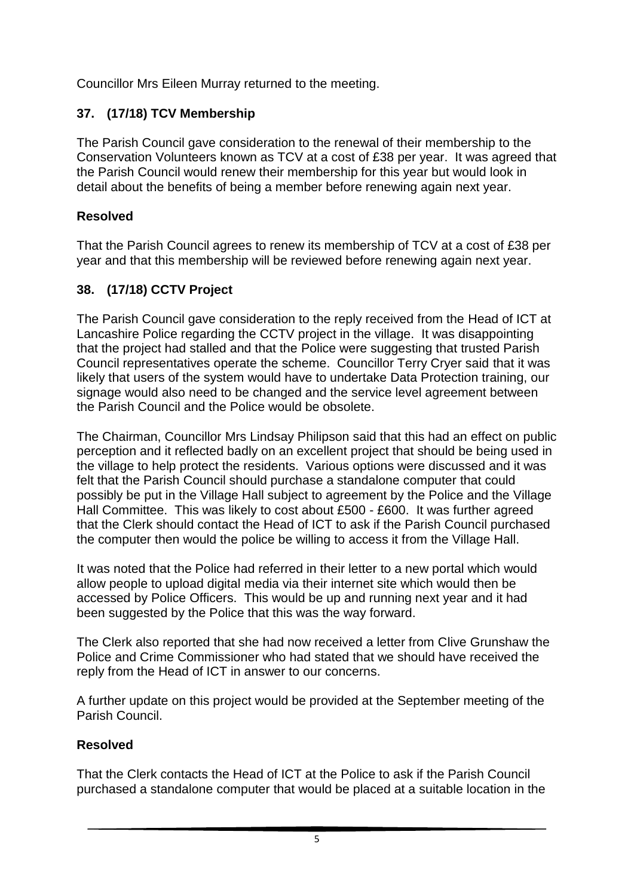Councillor Mrs Eileen Murray returned to the meeting.

# **37. (17/18) TCV Membership**

The Parish Council gave consideration to the renewal of their membership to the Conservation Volunteers known as TCV at a cost of £38 per year. It was agreed that the Parish Council would renew their membership for this year but would look in detail about the benefits of being a member before renewing again next year.

# **Resolved**

That the Parish Council agrees to renew its membership of TCV at a cost of £38 per year and that this membership will be reviewed before renewing again next year.

# **38. (17/18) CCTV Project**

The Parish Council gave consideration to the reply received from the Head of ICT at Lancashire Police regarding the CCTV project in the village. It was disappointing that the project had stalled and that the Police were suggesting that trusted Parish Council representatives operate the scheme. Councillor Terry Cryer said that it was likely that users of the system would have to undertake Data Protection training, our signage would also need to be changed and the service level agreement between the Parish Council and the Police would be obsolete.

The Chairman, Councillor Mrs Lindsay Philipson said that this had an effect on public perception and it reflected badly on an excellent project that should be being used in the village to help protect the residents. Various options were discussed and it was felt that the Parish Council should purchase a standalone computer that could possibly be put in the Village Hall subject to agreement by the Police and the Village Hall Committee. This was likely to cost about £500 - £600. It was further agreed that the Clerk should contact the Head of ICT to ask if the Parish Council purchased the computer then would the police be willing to access it from the Village Hall.

It was noted that the Police had referred in their letter to a new portal which would allow people to upload digital media via their internet site which would then be accessed by Police Officers. This would be up and running next year and it had been suggested by the Police that this was the way forward.

The Clerk also reported that she had now received a letter from Clive Grunshaw the Police and Crime Commissioner who had stated that we should have received the reply from the Head of ICT in answer to our concerns.

A further update on this project would be provided at the September meeting of the Parish Council.

# **Resolved**

That the Clerk contacts the Head of ICT at the Police to ask if the Parish Council purchased a standalone computer that would be placed at a suitable location in the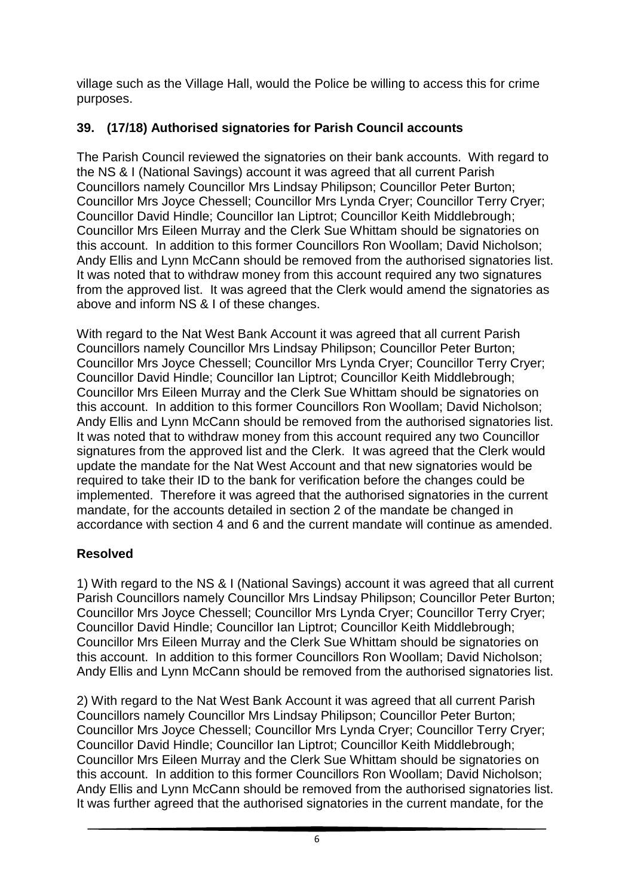village such as the Village Hall, would the Police be willing to access this for crime purposes.

# **39. (17/18) Authorised signatories for Parish Council accounts**

The Parish Council reviewed the signatories on their bank accounts. With regard to the NS & I (National Savings) account it was agreed that all current Parish Councillors namely Councillor Mrs Lindsay Philipson; Councillor Peter Burton; Councillor Mrs Joyce Chessell; Councillor Mrs Lynda Cryer; Councillor Terry Cryer; Councillor David Hindle; Councillor Ian Liptrot; Councillor Keith Middlebrough; Councillor Mrs Eileen Murray and the Clerk Sue Whittam should be signatories on this account. In addition to this former Councillors Ron Woollam; David Nicholson; Andy Ellis and Lynn McCann should be removed from the authorised signatories list. It was noted that to withdraw money from this account required any two signatures from the approved list. It was agreed that the Clerk would amend the signatories as above and inform NS & I of these changes.

With regard to the Nat West Bank Account it was agreed that all current Parish Councillors namely Councillor Mrs Lindsay Philipson; Councillor Peter Burton; Councillor Mrs Joyce Chessell; Councillor Mrs Lynda Cryer; Councillor Terry Cryer; Councillor David Hindle; Councillor Ian Liptrot; Councillor Keith Middlebrough; Councillor Mrs Eileen Murray and the Clerk Sue Whittam should be signatories on this account. In addition to this former Councillors Ron Woollam; David Nicholson; Andy Ellis and Lynn McCann should be removed from the authorised signatories list. It was noted that to withdraw money from this account required any two Councillor signatures from the approved list and the Clerk. It was agreed that the Clerk would update the mandate for the Nat West Account and that new signatories would be required to take their ID to the bank for verification before the changes could be implemented. Therefore it was agreed that the authorised signatories in the current mandate, for the accounts detailed in section 2 of the mandate be changed in accordance with section 4 and 6 and the current mandate will continue as amended.

# **Resolved**

1) With regard to the NS & I (National Savings) account it was agreed that all current Parish Councillors namely Councillor Mrs Lindsay Philipson; Councillor Peter Burton; Councillor Mrs Joyce Chessell; Councillor Mrs Lynda Cryer; Councillor Terry Cryer; Councillor David Hindle; Councillor Ian Liptrot; Councillor Keith Middlebrough; Councillor Mrs Eileen Murray and the Clerk Sue Whittam should be signatories on this account. In addition to this former Councillors Ron Woollam; David Nicholson; Andy Ellis and Lynn McCann should be removed from the authorised signatories list.

2) With regard to the Nat West Bank Account it was agreed that all current Parish Councillors namely Councillor Mrs Lindsay Philipson; Councillor Peter Burton; Councillor Mrs Joyce Chessell; Councillor Mrs Lynda Cryer; Councillor Terry Cryer; Councillor David Hindle; Councillor Ian Liptrot; Councillor Keith Middlebrough; Councillor Mrs Eileen Murray and the Clerk Sue Whittam should be signatories on this account. In addition to this former Councillors Ron Woollam; David Nicholson; Andy Ellis and Lynn McCann should be removed from the authorised signatories list. It was further agreed that the authorised signatories in the current mandate, for the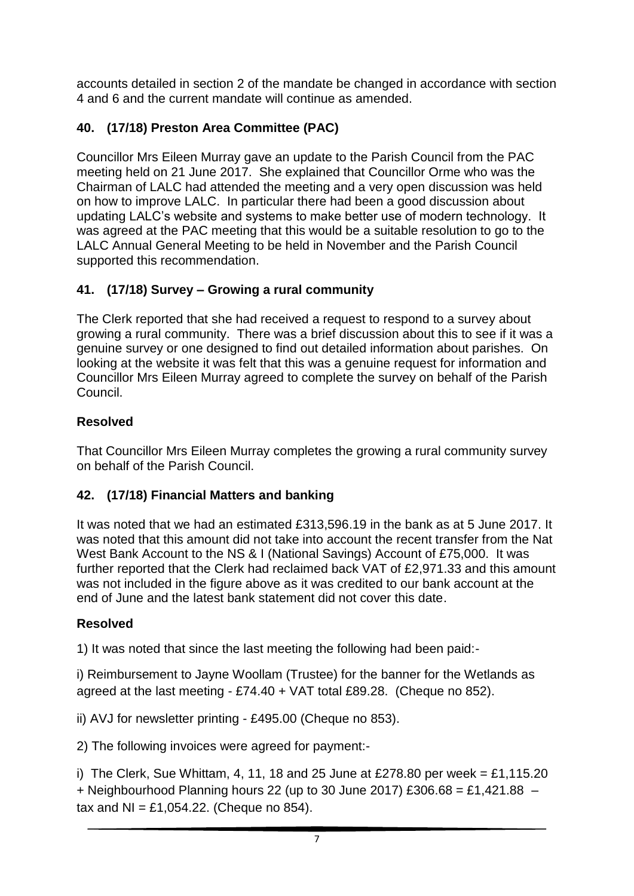accounts detailed in section 2 of the mandate be changed in accordance with section 4 and 6 and the current mandate will continue as amended.

# **40. (17/18) Preston Area Committee (PAC)**

Councillor Mrs Eileen Murray gave an update to the Parish Council from the PAC meeting held on 21 June 2017. She explained that Councillor Orme who was the Chairman of LALC had attended the meeting and a very open discussion was held on how to improve LALC. In particular there had been a good discussion about updating LALC's website and systems to make better use of modern technology. It was agreed at the PAC meeting that this would be a suitable resolution to go to the LALC Annual General Meeting to be held in November and the Parish Council supported this recommendation.

# **41. (17/18) Survey – Growing a rural community**

The Clerk reported that she had received a request to respond to a survey about growing a rural community. There was a brief discussion about this to see if it was a genuine survey or one designed to find out detailed information about parishes. On looking at the website it was felt that this was a genuine request for information and Councillor Mrs Eileen Murray agreed to complete the survey on behalf of the Parish Council.

### **Resolved**

That Councillor Mrs Eileen Murray completes the growing a rural community survey on behalf of the Parish Council.

# **42. (17/18) Financial Matters and banking**

It was noted that we had an estimated £313,596.19 in the bank as at 5 June 2017. It was noted that this amount did not take into account the recent transfer from the Nat West Bank Account to the NS & I (National Savings) Account of £75,000. It was further reported that the Clerk had reclaimed back VAT of £2,971.33 and this amount was not included in the figure above as it was credited to our bank account at the end of June and the latest bank statement did not cover this date.

### **Resolved**

1) It was noted that since the last meeting the following had been paid:-

i) Reimbursement to Jayne Woollam (Trustee) for the banner for the Wetlands as agreed at the last meeting - £74.40 + VAT total £89.28. (Cheque no 852).

ii) AVJ for newsletter printing - £495.00 (Cheque no 853).

2) The following invoices were agreed for payment:-

i) The Clerk, Sue Whittam, 4, 11, 18 and 25 June at £278.80 per week = £1,115.20 + Neighbourhood Planning hours 22 (up to 30 June 2017) £306.68 = £1,421.88  $$ tax and  $NI = £1,054.22$ . (Cheque no 854).